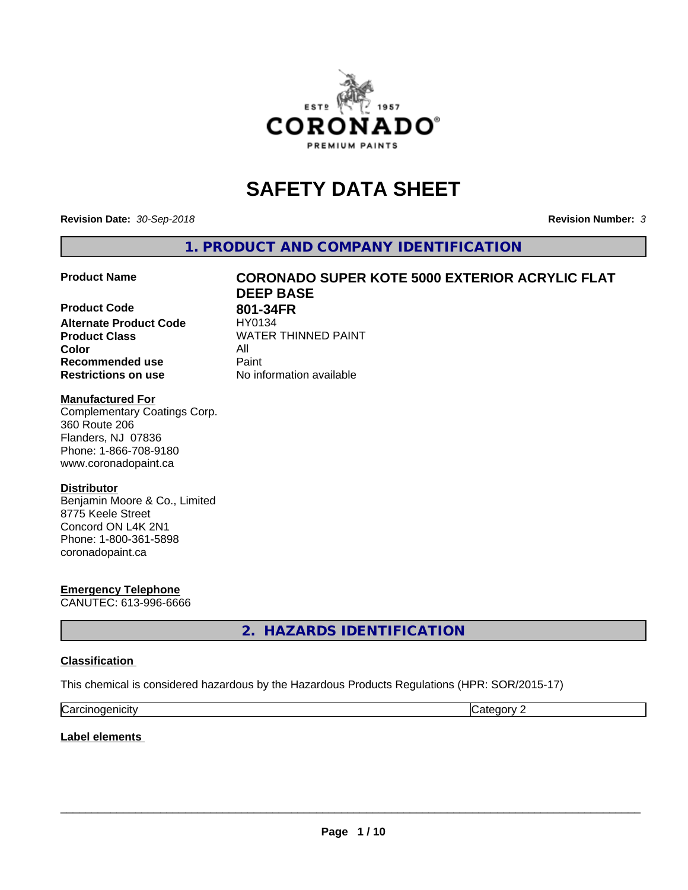

# **SAFETY DATA SHEET**

**Revision Date:** *30-Sep-2018* **Revision Number:** *3*

**1. PRODUCT AND COMPANY IDENTIFICATION**

**Product Code 618 801-34FR**<br>Alternate Product Code 618/90134 **Alternate Product Code Product Class WATER THINNED PAINT Color** All **Recommended use Caint Restrictions on use** No information available

# **Product Name CORONADO SUPER KOTE 5000 EXTERIOR ACRYLIC FLAT DEEP BASE**

#### **Manufactured For**

Complementary Coatings Corp. 360 Route 206 Flanders, NJ 07836 Phone: 1-866-708-9180 www.coronadopaint.ca

# **Distributor**

Benjamin Moore & Co., Limited 8775 Keele Street Concord ON L4K 2N1 Phone: 1-800-361-5898 coronadopaint.ca

**Emergency Telephone** CANUTEC: 613-996-6666

**2. HAZARDS IDENTIFICATION**

#### **Classification**

This chemical is considered hazardous by the Hazardous Products Regulations (HPR: SOR/2015-17)

| $\sim$   | $\sim$ |
|----------|--------|
| enicity: | .      |
| Ndi      | . .    |

**Label elements**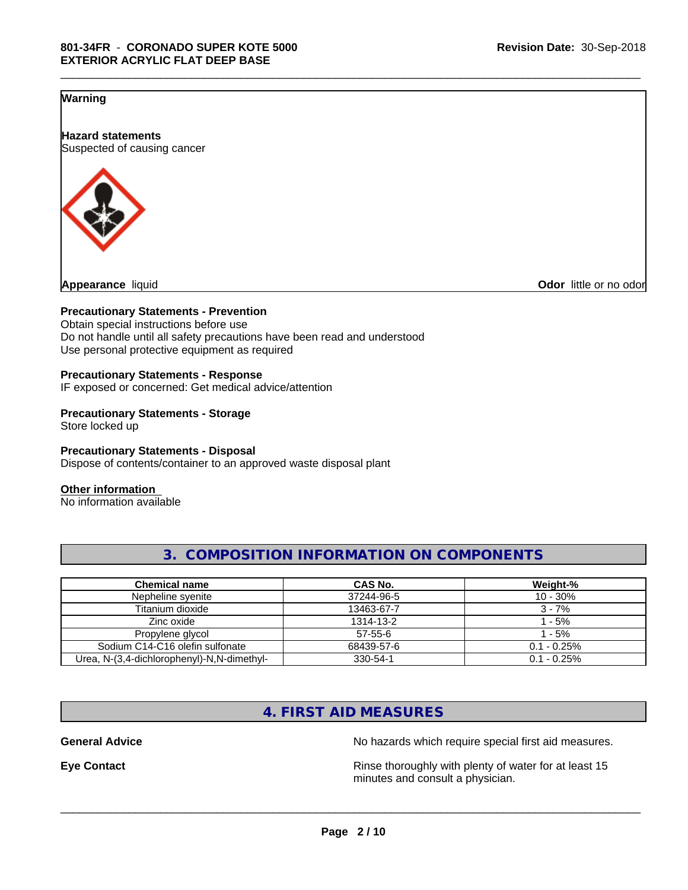# **Warning**

**Hazard statements** Suspected of causing cancer



**Odor** little or no odor

### **Precautionary Statements - Prevention**

Obtain special instructions before use Do not handle until all safety precautions have been read and understood Use personal protective equipment as required

#### **Precautionary Statements - Response**

IF exposed or concerned: Get medical advice/attention

#### **Precautionary Statements - Storage** Store locked up

**Precautionary Statements - Disposal** Dispose of contents/container to an approved waste disposal plant

#### **Other information**

No information available

| <b>Chemical name</b>                       | CAS No.       | Weight-%       |
|--------------------------------------------|---------------|----------------|
| Nepheline syenite                          | 37244-96-5    | $10 - 30%$     |
| Titanium dioxide                           | 13463-67-7    | $3 - 7%$       |
| Zinc oxide                                 | 1314-13-2     | l - 5%         |
| Propylene glycol                           | $57 - 55 - 6$ | 1 - 5%         |
| Sodium C14-C16 olefin sulfonate            | 68439-57-6    | $0.1 - 0.25\%$ |
| Urea, N-(3,4-dichlorophenyl)-N,N-dimethyl- | 330-54-1      | $0.1 - 0.25\%$ |

# **3. COMPOSITION INFORMATION ON COMPONENTS**

\_\_\_\_\_\_\_\_\_\_\_\_\_\_\_\_\_\_\_\_\_\_\_\_\_\_\_\_\_\_\_\_\_\_\_\_\_\_\_\_\_\_\_\_\_\_\_\_\_\_\_\_\_\_\_\_\_\_\_\_\_\_\_\_\_\_\_\_\_\_\_\_\_\_\_\_\_\_\_\_\_\_\_\_\_\_\_\_\_\_\_\_\_

# **4. FIRST AID MEASURES**

**General Advice** No hazards which require special first aid measures.

**Eye Contact Exercise 2.1 All 2.5 All 2.5 All 2.6 All 2.6 All 2.6 All 2.6 All 2.6 All 2.6 All 2.6 All 2.6 All 2.6 All 2.6 All 2.6 All 2.6 All 2.6 All 2.6 All 2.6 All 2.6 All 2.6 All 2.6 All 2.6 All 2.6 All 2.6 All 2.6 Al** minutes and consult a physician.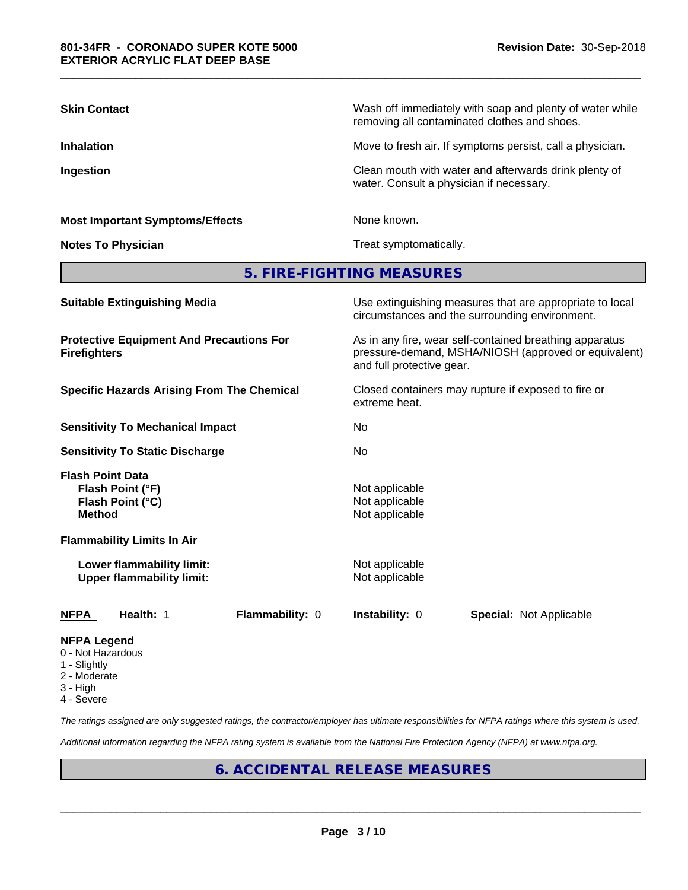| <b>Skin Contact</b>                                                              | Wash off immediately with soap and plenty of water while<br>removing all contaminated clothes and shoes.                                     |  |  |  |
|----------------------------------------------------------------------------------|----------------------------------------------------------------------------------------------------------------------------------------------|--|--|--|
| <b>Inhalation</b>                                                                | Move to fresh air. If symptoms persist, call a physician.                                                                                    |  |  |  |
| Ingestion                                                                        | Clean mouth with water and afterwards drink plenty of<br>water. Consult a physician if necessary.                                            |  |  |  |
| <b>Most Important Symptoms/Effects</b>                                           | None known.                                                                                                                                  |  |  |  |
| <b>Notes To Physician</b>                                                        | Treat symptomatically.                                                                                                                       |  |  |  |
|                                                                                  | 5. FIRE-FIGHTING MEASURES                                                                                                                    |  |  |  |
| <b>Suitable Extinguishing Media</b>                                              | Use extinguishing measures that are appropriate to local<br>circumstances and the surrounding environment.                                   |  |  |  |
| <b>Protective Equipment And Precautions For</b><br><b>Firefighters</b>           | As in any fire, wear self-contained breathing apparatus<br>pressure-demand, MSHA/NIOSH (approved or equivalent)<br>and full protective gear. |  |  |  |
| <b>Specific Hazards Arising From The Chemical</b>                                | Closed containers may rupture if exposed to fire or<br>extreme heat.                                                                         |  |  |  |
| <b>Sensitivity To Mechanical Impact</b>                                          | No.                                                                                                                                          |  |  |  |
| <b>Sensitivity To Static Discharge</b>                                           | No                                                                                                                                           |  |  |  |
| <b>Flash Point Data</b><br>Flash Point (°F)<br>Flash Point (°C)<br><b>Method</b> | Not applicable<br>Not applicable<br>Not applicable                                                                                           |  |  |  |
| <b>Flammability Limits In Air</b>                                                |                                                                                                                                              |  |  |  |
| Lower flammability limit:<br><b>Upper flammability limit:</b>                    | Not applicable<br>Not applicable                                                                                                             |  |  |  |
| Health: 1<br>Flammability: 0<br><b>NFPA</b>                                      | Instability: 0<br><b>Special: Not Applicable</b>                                                                                             |  |  |  |
| NFPA Leaend                                                                      |                                                                                                                                              |  |  |  |

\_\_\_\_\_\_\_\_\_\_\_\_\_\_\_\_\_\_\_\_\_\_\_\_\_\_\_\_\_\_\_\_\_\_\_\_\_\_\_\_\_\_\_\_\_\_\_\_\_\_\_\_\_\_\_\_\_\_\_\_\_\_\_\_\_\_\_\_\_\_\_\_\_\_\_\_\_\_\_\_\_\_\_\_\_\_\_\_\_\_\_\_\_

- 0 Not Hazardous
- 1 Slightly
- 2 Moderate
- 3 High
- 4 Severe

*The ratings assigned are only suggested ratings, the contractor/employer has ultimate responsibilities for NFPA ratings where this system is used.*

*Additional information regarding the NFPA rating system is available from the National Fire Protection Agency (NFPA) at www.nfpa.org.*

# **6. ACCIDENTAL RELEASE MEASURES**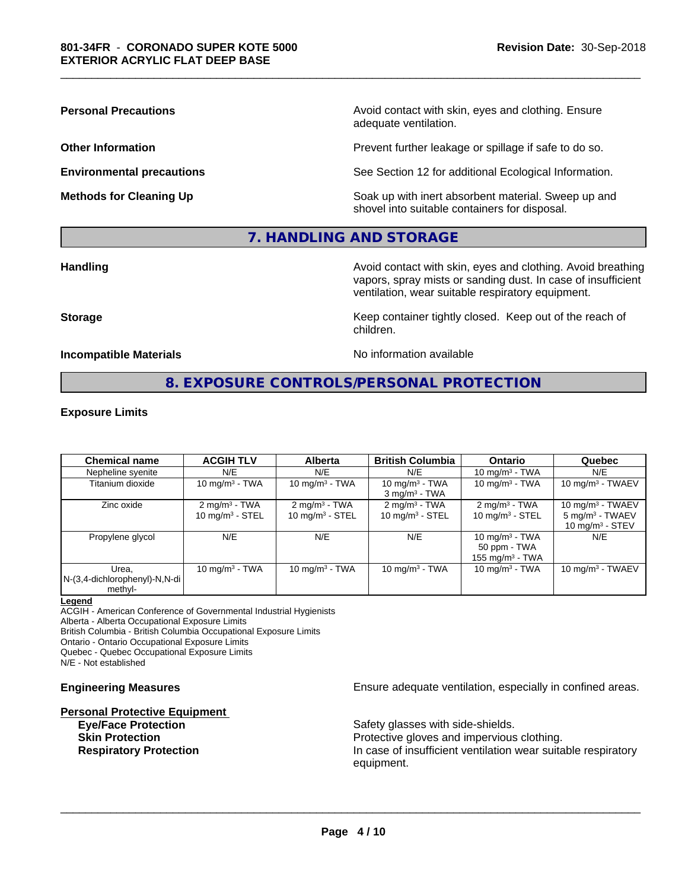**Personal Precautions Precautions** Avoid contact with skin, eyes and clothing. Ensure adequate ventilation.

**Other Information Other Information Prevent further leakage or spillage if safe to do so.** 

**Environmental precautions** See Section 12 for additional Ecological Information.

**Methods for Cleaning Up Example 20 All 20 All 20 All 20 Soak** up with inert absorbent material. Sweep up and shovel into suitable containers for disposal.

# **7. HANDLING AND STORAGE**

**Handling Handling Avoid contact with skin, eyes and clothing. Avoid breathing** vapors, spray mists or sanding dust. In case of insufficient ventilation, wear suitable respiratory equipment.

**Storage Keep container tightly closed. Keep out of the reach of Keep** container tightly closed. Keep out of the reach of

**Incompatible Materials No information available** 

\_\_\_\_\_\_\_\_\_\_\_\_\_\_\_\_\_\_\_\_\_\_\_\_\_\_\_\_\_\_\_\_\_\_\_\_\_\_\_\_\_\_\_\_\_\_\_\_\_\_\_\_\_\_\_\_\_\_\_\_\_\_\_\_\_\_\_\_\_\_\_\_\_\_\_\_\_\_\_\_\_\_\_\_\_\_\_\_\_\_\_\_\_

# **8. EXPOSURE CONTROLS/PERSONAL PROTECTION**

children.

#### **Exposure Limits**

| <b>Chemical name</b>                                 | <b>ACGIH TLV</b>                               | Alberta                                       | <b>British Columbia</b>                          | <b>Ontario</b>                                          | Quebec                                                                           |
|------------------------------------------------------|------------------------------------------------|-----------------------------------------------|--------------------------------------------------|---------------------------------------------------------|----------------------------------------------------------------------------------|
| Nepheline syenite                                    | N/E                                            | N/E                                           | N/E                                              | 10 mg/m $3$ - TWA                                       | N/E                                                                              |
| Titanium dioxide                                     | 10 mg/m $3$ - TWA                              | 10 mg/m $3$ - TWA                             | 10 mg/m $3$ - TWA<br>$3$ mg/m <sup>3</sup> - TWA | 10 mg/m $3$ - TWA                                       | 10 mg/m $3$ - TWAEV                                                              |
| Zinc oxide                                           | $2 \text{ mg/m}^3$ - TWA<br>10 mg/m $3 -$ STEL | $2 \text{mq/m}^3$ - TWA<br>10 mg/m $3 -$ STEL | $2 \text{ mg/m}^3$ - TWA<br>10 mg/m $3 -$ STEL   | $2 \text{mq/m}^3$ - TWA<br>10 mg/m $3 -$ STEL           | 10 mg/m $3$ - TWAEV<br>$5 \text{ mg/m}^3$ - TWAEV<br>10 mg/m <sup>3</sup> - STEV |
| Propylene glycol                                     | N/E                                            | N/E                                           | N/E                                              | 10 mg/m $3$ - TWA<br>50 ppm - TWA<br>155 mg/m $3$ - TWA | N/E                                                                              |
| Urea.<br>$N-(3,4$ -dichlorophenyl)-N,N-di<br>methyl- | $10 \text{ mg/m}^3$ - TWA                      | 10 $mq/m3$ - TWA                              | 10 mg/m $3 - TWA$                                | 10 $mq/m3$ - TWA                                        | $10 \text{ mg/m}$ <sup>3</sup> - TWAEV                                           |

#### **Legend**

ACGIH - American Conference of Governmental Industrial Hygienists Alberta - Alberta Occupational Exposure Limits

British Columbia - British Columbia Occupational Exposure Limits

Ontario - Ontario Occupational Exposure Limits Quebec - Quebec Occupational Exposure Limits

N/E - Not established

# **Personal Protective Equipment**

**Engineering Measures Ensure** Ensure adequate ventilation, especially in confined areas.

**Eye/Face Protection Safety glasses with side-shields. Skin Protection Protection Protective gloves and impervious clothing. Respiratory Protection In case of insufficient ventilation wear suitable respiratory** equipment.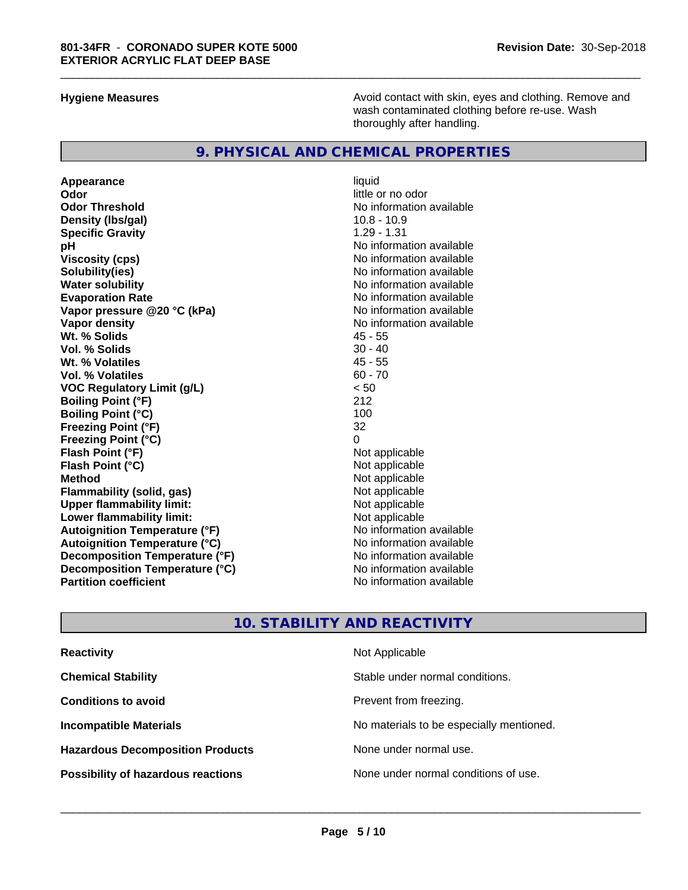**Hygiene Measures Avoid contact with skin, eyes and clothing. Remove and Avoid contact with skin, eyes and clothing. Remove and Avoid contact with skin, eyes and clothing. Remove and** wash contaminated clothing before re-use. Wash thoroughly after handling.

# **9. PHYSICAL AND CHEMICAL PROPERTIES**

**Appearance** liquid **Odor** little or no odor **Odor Threshold No information available No information available Density (lbs/gal)** 10.8 - 10.9 **Specific Gravity** 1.29 - 1.31 **pH** No information available **Viscosity (cps)** No information available **Solubility(ies)** No information available **Water solubility**<br> **Evaporation Rate**<br> **Evaporation Rate**<br> **Evaporation Rate Vapor** pressure @20 °C (kPa) **Vapor density**<br> **We Solids**<br>
We Solids
2018 **Wt. % Solids** 45 - 55 **Vol. % Solids Wt. % Volatiles** 45 - 55 **Vol. % Volatiles VOC Regulatory Limit (g/L)** < 50 **Boiling Point (°F)** 212 **Boiling Point (°C)** 100<br>**Freezing Point (°F)** 32 **Freezing Point (°F) Freezing Point (°C)** 0 **Flash Point (°F) Flash Point (°C)** Not applicable **Method** Not applicable **Flammability** (solid, gas) **Upper flammability limit:** Not applicable **Lower flammability limit:**<br> **Autoignition Temperature (°F)** Not applicable havailable available **Autoignition Temperature (°F) Autoignition Temperature (°C)** No information available **Decomposition Temperature (°F)** No information available<br> **Decomposition Temperature (°C)** No information available **Decomposition Temperature (°C) Partition coefficient** No information available

No information available<br>No information available

\_\_\_\_\_\_\_\_\_\_\_\_\_\_\_\_\_\_\_\_\_\_\_\_\_\_\_\_\_\_\_\_\_\_\_\_\_\_\_\_\_\_\_\_\_\_\_\_\_\_\_\_\_\_\_\_\_\_\_\_\_\_\_\_\_\_\_\_\_\_\_\_\_\_\_\_\_\_\_\_\_\_\_\_\_\_\_\_\_\_\_\_\_

# **10. STABILITY AND REACTIVITY**

| <b>Reactivity</b>                         | Not Applicable                           |
|-------------------------------------------|------------------------------------------|
| <b>Chemical Stability</b>                 | Stable under normal conditions.          |
| <b>Conditions to avoid</b>                | Prevent from freezing.                   |
| <b>Incompatible Materials</b>             | No materials to be especially mentioned. |
| <b>Hazardous Decomposition Products</b>   | None under normal use.                   |
| <b>Possibility of hazardous reactions</b> | None under normal conditions of use.     |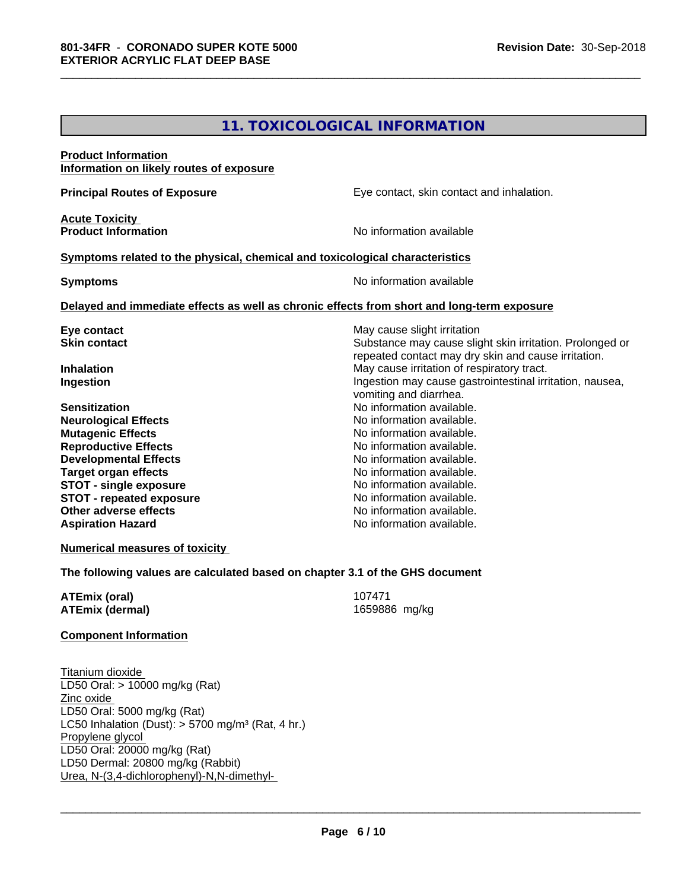# **11. TOXICOLOGICAL INFORMATION**

\_\_\_\_\_\_\_\_\_\_\_\_\_\_\_\_\_\_\_\_\_\_\_\_\_\_\_\_\_\_\_\_\_\_\_\_\_\_\_\_\_\_\_\_\_\_\_\_\_\_\_\_\_\_\_\_\_\_\_\_\_\_\_\_\_\_\_\_\_\_\_\_\_\_\_\_\_\_\_\_\_\_\_\_\_\_\_\_\_\_\_\_\_

| <b>Product Information</b>                                                                 |                                                          |
|--------------------------------------------------------------------------------------------|----------------------------------------------------------|
| Information on likely routes of exposure                                                   |                                                          |
| <b>Principal Routes of Exposure</b>                                                        | Eye contact, skin contact and inhalation.                |
|                                                                                            |                                                          |
| <b>Acute Toxicity</b><br><b>Product Information</b>                                        | No information available                                 |
|                                                                                            |                                                          |
| Symptoms related to the physical, chemical and toxicological characteristics               |                                                          |
| <b>Symptoms</b>                                                                            | No information available                                 |
| Delayed and immediate effects as well as chronic effects from short and long-term exposure |                                                          |
| Eye contact                                                                                | May cause slight irritation                              |
| <b>Skin contact</b>                                                                        | Substance may cause slight skin irritation. Prolonged or |
|                                                                                            | repeated contact may dry skin and cause irritation.      |
| <b>Inhalation</b>                                                                          | May cause irritation of respiratory tract.               |
| Ingestion                                                                                  | Ingestion may cause gastrointestinal irritation, nausea, |
|                                                                                            | vomiting and diarrhea.                                   |
| <b>Sensitization</b>                                                                       | No information available.                                |
| <b>Neurological Effects</b>                                                                | No information available.                                |
| <b>Mutagenic Effects</b>                                                                   | No information available.                                |
| <b>Reproductive Effects</b>                                                                | No information available.                                |
| <b>Developmental Effects</b>                                                               | No information available.                                |
| <b>Target organ effects</b>                                                                | No information available.                                |
| <b>STOT - single exposure</b>                                                              | No information available.                                |
| <b>STOT - repeated exposure</b>                                                            | No information available.                                |
| Other adverse effects                                                                      | No information available.                                |
| <b>Aspiration Hazard</b>                                                                   | No information available.                                |
| <b>Numerical measures of toxicity</b>                                                      |                                                          |

**The following values are calculated based on chapter 3.1 of the GHS document**

| <b>ATEmix (oral)</b>   | 107471        |
|------------------------|---------------|
| <b>ATEmix (dermal)</b> | 1659886 mg/kg |

#### **Component Information**

Titanium dioxide LD50 Oral: > 10000 mg/kg (Rat) Zinc oxide LD50 Oral: 5000 mg/kg (Rat) LC50 Inhalation (Dust): > 5700 mg/m³ (Rat, 4 hr.) Propylene glycol LD50 Oral: 20000 mg/kg (Rat) LD50 Dermal: 20800 mg/kg (Rabbit) Urea, N-(3,4-dichlorophenyl)-N,N-dimethyl-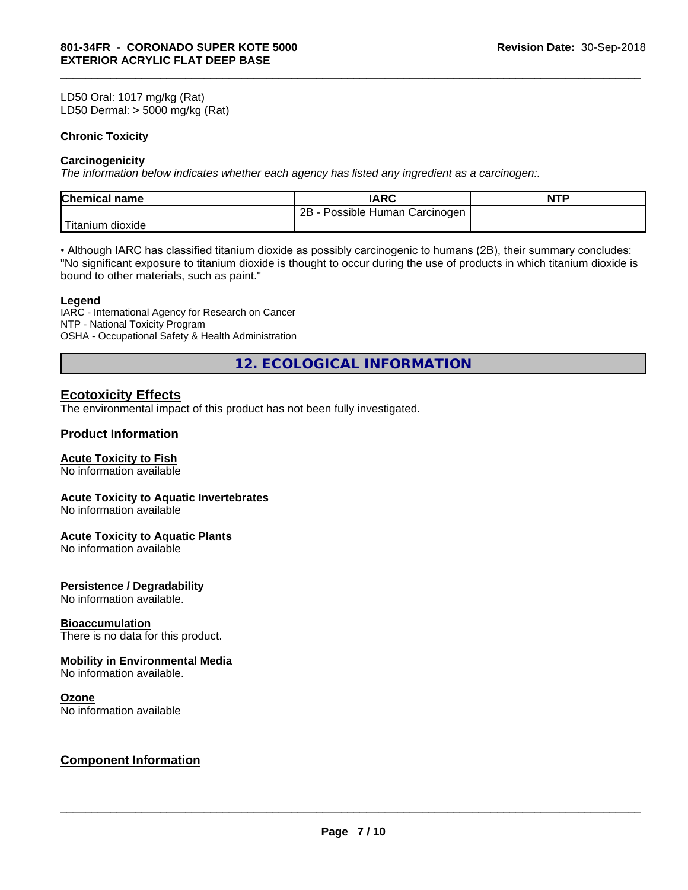LD50 Oral: 1017 mg/kg (Rat) LD50 Dermal: > 5000 mg/kg (Rat)

#### **Chronic Toxicity**

#### **Carcinogenicity**

*The information below indicateswhether each agency has listed any ingredient as a carcinogen:.*

| <b>Chemical name</b> | <b>IARC</b>                                            | <b>NTP</b> |
|----------------------|--------------------------------------------------------|------------|
|                      | Possible <sup>1</sup><br>2B<br>∖ Carcinoɑen ∶<br>Human |            |
| 'Titanium<br>dioxide |                                                        |            |

\_\_\_\_\_\_\_\_\_\_\_\_\_\_\_\_\_\_\_\_\_\_\_\_\_\_\_\_\_\_\_\_\_\_\_\_\_\_\_\_\_\_\_\_\_\_\_\_\_\_\_\_\_\_\_\_\_\_\_\_\_\_\_\_\_\_\_\_\_\_\_\_\_\_\_\_\_\_\_\_\_\_\_\_\_\_\_\_\_\_\_\_\_

• Although IARC has classified titanium dioxide as possibly carcinogenic to humans (2B), their summary concludes: "No significant exposure to titanium dioxide is thought to occur during the use of products in which titanium dioxide is bound to other materials, such as paint."

#### **Legend**

IARC - International Agency for Research on Cancer NTP - National Toxicity Program OSHA - Occupational Safety & Health Administration

**12. ECOLOGICAL INFORMATION**

# **Ecotoxicity Effects**

The environmental impact of this product has not been fully investigated.

### **Product Information**

#### **Acute Toxicity to Fish**

No information available

#### **Acute Toxicity to Aquatic Invertebrates**

No information available

#### **Acute Toxicity to Aquatic Plants**

No information available

#### **Persistence / Degradability**

No information available.

#### **Bioaccumulation**

There is no data for this product.

### **Mobility in Environmental Media**

No information available.

#### **Ozone**

No information available

# **Component Information**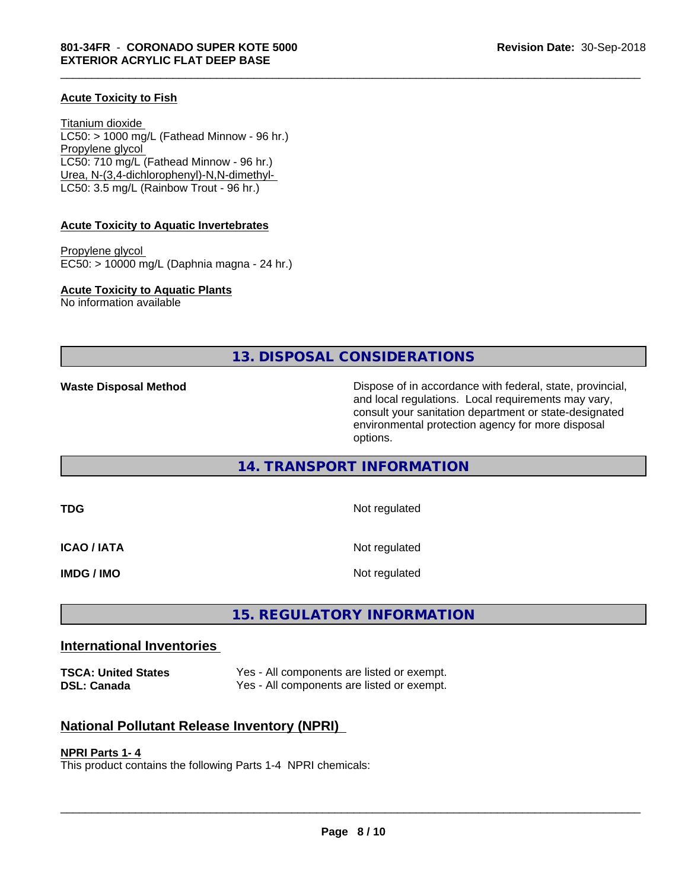#### **Acute Toxicity to Fish**

Titanium dioxide  $LC50:$  > 1000 mg/L (Fathead Minnow - 96 hr.) Propylene glycol LC50: 710 mg/L (Fathead Minnow - 96 hr.) Urea, N-(3,4-dichlorophenyl)-N,N-dimethyl- LC50: 3.5 mg/L (Rainbow Trout - 96 hr.)

#### **Acute Toxicity to Aquatic Invertebrates**

Propylene glycol EC50: > 10000 mg/L (Daphnia magna - 24 hr.)

**Acute Toxicity to Aquatic Plants**

No information available

**13. DISPOSAL CONSIDERATIONS**

\_\_\_\_\_\_\_\_\_\_\_\_\_\_\_\_\_\_\_\_\_\_\_\_\_\_\_\_\_\_\_\_\_\_\_\_\_\_\_\_\_\_\_\_\_\_\_\_\_\_\_\_\_\_\_\_\_\_\_\_\_\_\_\_\_\_\_\_\_\_\_\_\_\_\_\_\_\_\_\_\_\_\_\_\_\_\_\_\_\_\_\_\_

**Waste Disposal Method Dispose of in accordance with federal, state, provincial,** and local regulations. Local requirements may vary, consult your sanitation department or state-designated environmental protection agency for more disposal options.

# **14. TRANSPORT INFORMATION**

**TDG** Not regulated **ICAO / IATA** Not regulated **IMDG / IMO** Not regulated

# **15. REGULATORY INFORMATION**

# **International Inventories**

**TSCA: United States** Yes - All components are listed or exempt. **DSL: Canada** Yes - All components are listed or exempt.

# **National Pollutant Release Inventory (NPRI)**

#### **NPRI Parts 1- 4**

This product contains the following Parts 1-4 NPRI chemicals: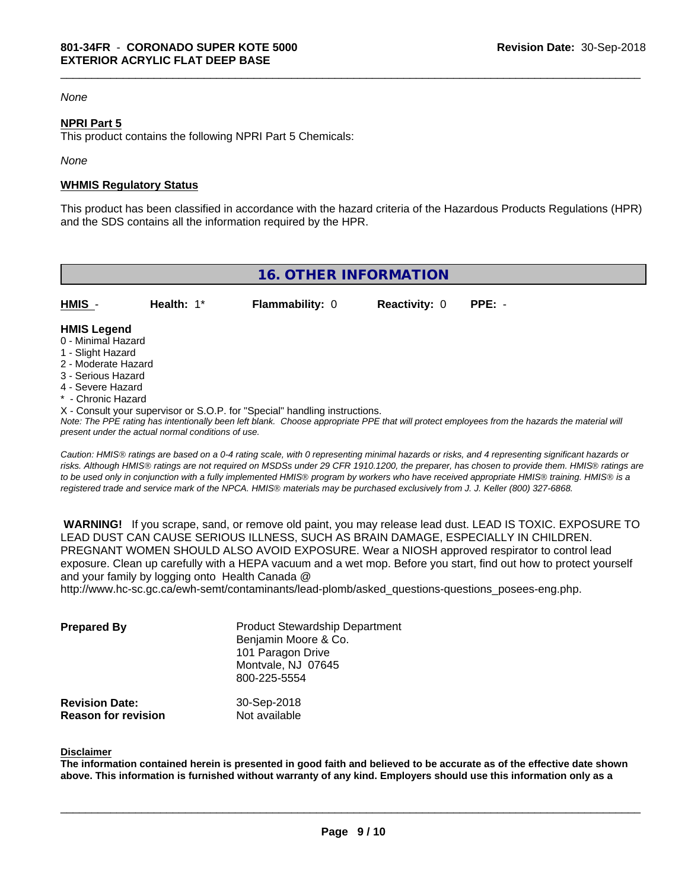#### *None*

#### **NPRI Part 5**

This product contains the following NPRI Part 5 Chemicals:

*None*

#### **WHMIS Regulatory Status**

This product has been classified in accordance with the hazard criteria of the Hazardous Products Regulations (HPR) and the SDS contains all the information required by the HPR.

\_\_\_\_\_\_\_\_\_\_\_\_\_\_\_\_\_\_\_\_\_\_\_\_\_\_\_\_\_\_\_\_\_\_\_\_\_\_\_\_\_\_\_\_\_\_\_\_\_\_\_\_\_\_\_\_\_\_\_\_\_\_\_\_\_\_\_\_\_\_\_\_\_\_\_\_\_\_\_\_\_\_\_\_\_\_\_\_\_\_\_\_\_

| <b>16. OTHER INFORMATION</b>                                                                                                                                                                                |            |                                                                            |                      |                                                                                                                                               |  |
|-------------------------------------------------------------------------------------------------------------------------------------------------------------------------------------------------------------|------------|----------------------------------------------------------------------------|----------------------|-----------------------------------------------------------------------------------------------------------------------------------------------|--|
| HMIS -                                                                                                                                                                                                      | Health: 1* | <b>Flammability: 0</b>                                                     | <b>Reactivity: 0</b> | $PPE: -$                                                                                                                                      |  |
| <b>HMIS Legend</b><br>0 - Minimal Hazard<br>1 - Slight Hazard<br>2 - Moderate Hazard<br>3 - Serious Hazard<br>4 - Severe Hazard<br>* - Chronic Hazard<br>present under the actual normal conditions of use. |            | X - Consult your supervisor or S.O.P. for "Special" handling instructions. |                      | Note: The PPE rating has intentionally been left blank. Choose appropriate PPE that will protect employees from the hazards the material will |  |

*Caution: HMISÒ ratings are based on a 0-4 rating scale, with 0 representing minimal hazards or risks, and 4 representing significant hazards or risks. Although HMISÒ ratings are not required on MSDSs under 29 CFR 1910.1200, the preparer, has chosen to provide them. HMISÒ ratings are to be used only in conjunction with a fully implemented HMISÒ program by workers who have received appropriate HMISÒ training. HMISÒ is a registered trade and service mark of the NPCA. HMISÒ materials may be purchased exclusively from J. J. Keller (800) 327-6868.*

 **WARNING!** If you scrape, sand, or remove old paint, you may release lead dust. LEAD IS TOXIC. EXPOSURE TO LEAD DUST CAN CAUSE SERIOUS ILLNESS, SUCH AS BRAIN DAMAGE, ESPECIALLY IN CHILDREN. PREGNANT WOMEN SHOULD ALSO AVOID EXPOSURE. Wear a NIOSH approved respirator to control lead exposure. Clean up carefully with a HEPA vacuum and a wet mop. Before you start, find out how to protect yourself and your family by logging onto Health Canada @ http://www.hc-sc.gc.ca/ewh-semt/contaminants/lead-plomb/asked\_questions-questions\_posees-eng.php.

| <b>Prepared By</b>                                  | <b>Product Stewardship Department</b><br>Benjamin Moore & Co.<br>101 Paragon Drive<br>Montvale, NJ 07645<br>800-225-5554 |  |
|-----------------------------------------------------|--------------------------------------------------------------------------------------------------------------------------|--|
| <b>Revision Date:</b><br><b>Reason for revision</b> | 30-Sep-2018<br>Not available                                                                                             |  |

#### **Disclaimer**

The information contained herein is presented in good faith and believed to be accurate as of the effective date shown above. This information is furnished without warranty of any kind. Employers should use this information only as a